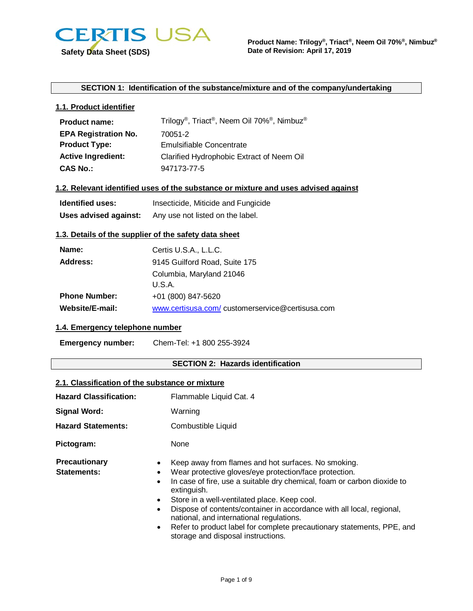

## **SECTION 1: Identification of the substance/mixture and of the company/undertaking**

# **1.1. Product identifier**

| <b>Product name:</b>        | Trilogy <sup>®</sup> , Triact <sup>®</sup> , Neem Oil 70% <sup>®</sup> , Nimbuz <sup>®</sup> |
|-----------------------------|----------------------------------------------------------------------------------------------|
| <b>EPA Registration No.</b> | 70051-2                                                                                      |
| <b>Product Type:</b>        | <b>Emulsifiable Concentrate</b>                                                              |
| <b>Active Ingredient:</b>   | Clarified Hydrophobic Extract of Neem Oil                                                    |
| <b>CAS No.:</b>             | 947173-77-5                                                                                  |

# **1.2. Relevant identified uses of the substance or mixture and uses advised against**

| <b>Identified uses:</b> | Insecticide, Miticide and Fungicide |
|-------------------------|-------------------------------------|
| Uses advised against:   | Any use not listed on the label.    |

### **1.3. Details of the supplier of the safety data sheet**

| Name:                  | Certis U.S.A., L.L.C.                           |  |
|------------------------|-------------------------------------------------|--|
| Address:               | 9145 Guilford Road, Suite 175                   |  |
|                        | Columbia, Maryland 21046                        |  |
|                        | U.S.A.                                          |  |
| <b>Phone Number:</b>   | +01 (800) 847-5620                              |  |
| <b>Website/E-mail:</b> | www.certisusa.com/customerservice@certisusa.com |  |

# **1.4. Emergency telephone number**

|  | <b>Emergency number:</b> | Chem-Tel: +1 800 255-3924 |
|--|--------------------------|---------------------------|
|--|--------------------------|---------------------------|

# **SECTION 2: Hazards identification**

# **2.1. Classification of the substance or mixture**

| <b>Hazard Classification:</b>       | Flammable Liquid Cat. 4                                                                                                                                                                                                                                                                                                                                                                                                                                                                                                                          |
|-------------------------------------|--------------------------------------------------------------------------------------------------------------------------------------------------------------------------------------------------------------------------------------------------------------------------------------------------------------------------------------------------------------------------------------------------------------------------------------------------------------------------------------------------------------------------------------------------|
| Signal Word:                        | Warning                                                                                                                                                                                                                                                                                                                                                                                                                                                                                                                                          |
| <b>Hazard Statements:</b>           | Combustible Liquid                                                                                                                                                                                                                                                                                                                                                                                                                                                                                                                               |
| Pictogram:                          | None                                                                                                                                                                                                                                                                                                                                                                                                                                                                                                                                             |
| <b>Precautionary</b><br>Statements: | Keep away from flames and hot surfaces. No smoking.<br>Wear protective gloves/eye protection/face protection.<br>In case of fire, use a suitable dry chemical, foam or carbon dioxide to<br>$\bullet$<br>extinguish.<br>Store in a well-ventilated place. Keep cool.<br>$\bullet$<br>Dispose of contents/container in accordance with all local, regional,<br>$\bullet$<br>national, and international regulations.<br>Refer to product label for complete precautionary statements, PPE, and<br>$\bullet$<br>storage and disposal instructions. |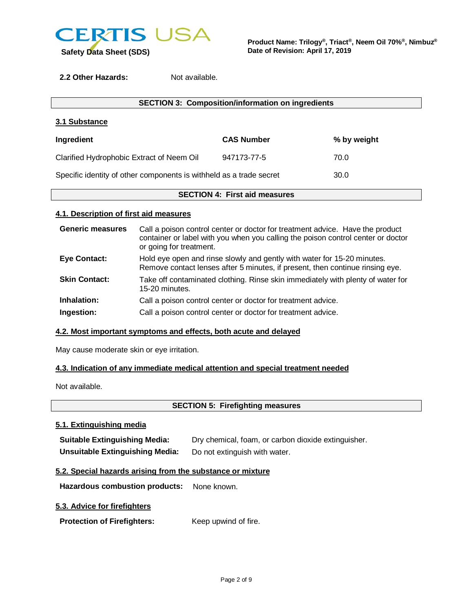

**2.2 Other Hazards:** Not available.

| <b>SECTION 3: Composition/information on ingredients</b>            |                   |             |  |
|---------------------------------------------------------------------|-------------------|-------------|--|
| 3.1 Substance                                                       |                   |             |  |
| Ingredient                                                          | <b>CAS Number</b> | % by weight |  |
| Clarified Hydrophobic Extract of Neem Oil                           | 947173-77-5       | 70.0        |  |
| Specific identity of other components is withheld as a trade secret |                   | 30.0        |  |

## **SECTION 4: First aid measures**

### **4.1. Description of first aid measures**

| <b>Generic measures</b> | Call a poison control center or doctor for treatment advice. Have the product<br>container or label with you when you calling the poison control center or doctor<br>or going for treatment. |
|-------------------------|----------------------------------------------------------------------------------------------------------------------------------------------------------------------------------------------|
| <b>Eye Contact:</b>     | Hold eye open and rinse slowly and gently with water for 15-20 minutes.<br>Remove contact lenses after 5 minutes, if present, then continue rinsing eye.                                     |
| <b>Skin Contact:</b>    | Take off contaminated clothing. Rinse skin immediately with plenty of water for<br>15-20 minutes.                                                                                            |
| Inhalation:             | Call a poison control center or doctor for treatment advice.                                                                                                                                 |
| Ingestion:              | Call a poison control center or doctor for treatment advice.                                                                                                                                 |

## **4.2. Most important symptoms and effects, both acute and delayed**

May cause moderate skin or eye irritation.

## **4.3. Indication of any immediate medical attention and special treatment needed**

Not available.

#### **SECTION 5: Firefighting measures**

# **5.1. Extinguishing media**

| <b>Suitable Extinguishing Media:</b>   | Dry chemical, foam, or carbon dioxide extinguisher. |
|----------------------------------------|-----------------------------------------------------|
| <b>Unsuitable Extinguishing Media:</b> | Do not extinguish with water.                       |

# **5.2. Special hazards arising from the substance or mixture**

**Hazardous combustion products:** None known.

# **5.3. Advice for firefighters**

**Protection of Firefighters:** Keep upwind of fire.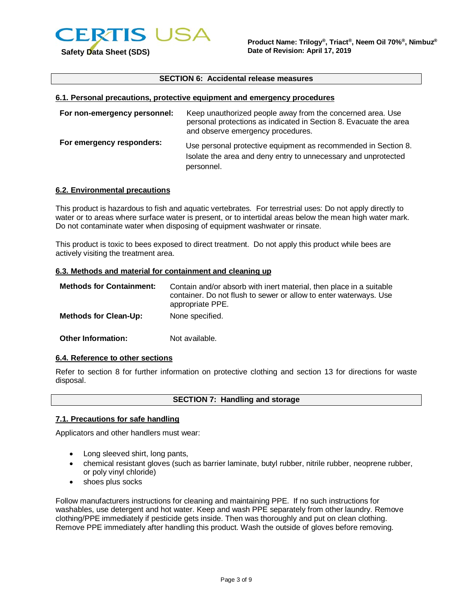

**Safety Data Sheet (SDS)**

## **SECTION 6: Accidental release measures**

#### **6.1. Personal precautions, protective equipment and emergency procedures**

| For non-emergency personnel: | Keep unauthorized people away from the concerned area. Use<br>personal protections as indicated in Section 8. Evacuate the area<br>and observe emergency procedures. |
|------------------------------|----------------------------------------------------------------------------------------------------------------------------------------------------------------------|
| For emergency responders:    | Use personal protective equipment as recommended in Section 8.<br>Isolate the area and deny entry to unnecessary and unprotected<br>personnel.                       |

### **6.2. Environmental precautions**

This product is hazardous to fish and aquatic vertebrates. For terrestrial uses: Do not apply directly to water or to areas where surface water is present, or to intertidal areas below the mean high water mark. Do not contaminate water when disposing of equipment washwater or rinsate.

This product is toxic to bees exposed to direct treatment. Do not apply this product while bees are actively visiting the treatment area.

#### **6.3. Methods and material for containment and cleaning up**

| <b>Methods for Containment:</b> | Contain and/or absorb with inert material, then place in a suitable<br>container. Do not flush to sewer or allow to enter waterways. Use<br>appropriate PPE. |
|---------------------------------|--------------------------------------------------------------------------------------------------------------------------------------------------------------|
| <b>Methods for Clean-Up:</b>    | None specified.                                                                                                                                              |
| <b>Other Information:</b>       | Not available.                                                                                                                                               |

### **6.4. Reference to other sections**

Refer to section 8 for further information on protective clothing and section 13 for directions for waste disposal.

## **SECTION 7: Handling and storage**

## **7.1. Precautions for safe handling**

Applicators and other handlers must wear:

- Long sleeved shirt, long pants,
- chemical resistant gloves (such as barrier laminate, butyl rubber, nitrile rubber, neoprene rubber, or poly vinyl chloride)
- shoes plus socks

Follow manufacturers instructions for cleaning and maintaining PPE. If no such instructions for washables, use detergent and hot water. Keep and wash PPE separately from other laundry. Remove clothing/PPE immediately if pesticide gets inside. Then was thoroughly and put on clean clothing. Remove PPE immediately after handling this product. Wash the outside of gloves before removing.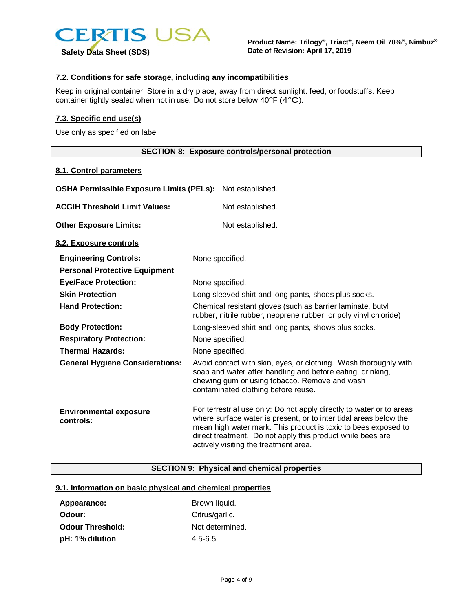

# **7.2. Conditions for safe storage, including any incompatibilities**

Keep in original container. Store in a dry place, away from direct sunlight. feed, or foodstuffs. Keep container tightly sealed when not in use. Do not store below 40°F (4°C)*.*

# **7.3. Specific end use(s)**

Use only as specified on label.

## **SECTION 8: Exposure controls/personal protection**

#### **8.1. Control parameters**

| OSHA Permissible Exposure Limits (PELs): Not established. |                                                                                                                                |                                                                                                                                                                                                                                                                                                                    |
|-----------------------------------------------------------|--------------------------------------------------------------------------------------------------------------------------------|--------------------------------------------------------------------------------------------------------------------------------------------------------------------------------------------------------------------------------------------------------------------------------------------------------------------|
| <b>ACGIH Threshold Limit Values:</b>                      |                                                                                                                                | Not established.                                                                                                                                                                                                                                                                                                   |
| <b>Other Exposure Limits:</b>                             |                                                                                                                                | Not established.                                                                                                                                                                                                                                                                                                   |
| 8.2. Exposure controls                                    |                                                                                                                                |                                                                                                                                                                                                                                                                                                                    |
| <b>Engineering Controls:</b>                              |                                                                                                                                | None specified.                                                                                                                                                                                                                                                                                                    |
| <b>Personal Protective Equipment</b>                      |                                                                                                                                |                                                                                                                                                                                                                                                                                                                    |
| <b>Eye/Face Protection:</b>                               | None specified.                                                                                                                |                                                                                                                                                                                                                                                                                                                    |
| <b>Skin Protection</b>                                    |                                                                                                                                | Long-sleeved shirt and long pants, shoes plus socks.                                                                                                                                                                                                                                                               |
| <b>Hand Protection:</b>                                   | Chemical resistant gloves (such as barrier laminate, butyl<br>rubber, nitrile rubber, neoprene rubber, or poly vinyl chloride) |                                                                                                                                                                                                                                                                                                                    |
| <b>Body Protection:</b>                                   | Long-sleeved shirt and long pants, shows plus socks.                                                                           |                                                                                                                                                                                                                                                                                                                    |
| <b>Respiratory Protection:</b>                            | None specified.                                                                                                                |                                                                                                                                                                                                                                                                                                                    |
| <b>Thermal Hazards:</b>                                   |                                                                                                                                | None specified.                                                                                                                                                                                                                                                                                                    |
| <b>General Hygiene Considerations:</b>                    |                                                                                                                                | Avoid contact with skin, eyes, or clothing. Wash thoroughly with<br>soap and water after handling and before eating, drinking,<br>chewing gum or using tobacco. Remove and wash<br>contaminated clothing before reuse.                                                                                             |
| <b>Environmental exposure</b><br>controls:                |                                                                                                                                | For terrestrial use only: Do not apply directly to water or to areas<br>where surface water is present, or to inter tidal areas below the<br>mean high water mark. This product is toxic to bees exposed to<br>direct treatment. Do not apply this product while bees are<br>actively visiting the treatment area. |

# **SECTION 9: Physical and chemical properties**

# **9.1. Information on basic physical and chemical properties**

| Appearance:             | Brown liquid.   |
|-------------------------|-----------------|
| Odour:                  | Citrus/garlic.  |
| <b>Odour Threshold:</b> | Not determined. |
| pH: 1% dilution         | $4.5 - 6.5$     |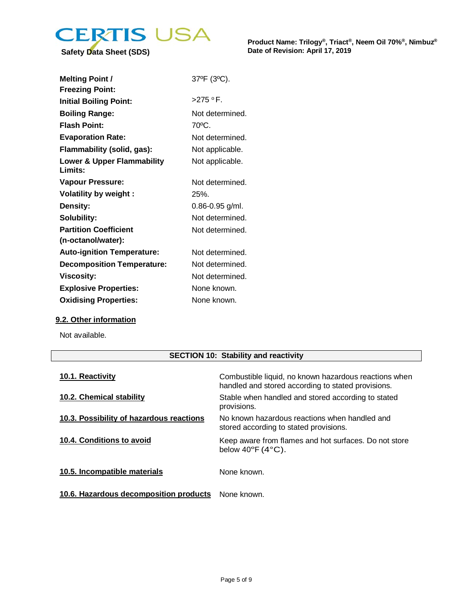

| <b>Safety Data Sheet (SDS)</b> |  |  |  |
|--------------------------------|--|--|--|
|--------------------------------|--|--|--|

| <b>Melting Point /</b>                           | 37°F (3°C).        |
|--------------------------------------------------|--------------------|
| <b>Freezing Point:</b>                           |                    |
| <b>Initial Boiling Point:</b>                    | $>275$ °F.         |
| <b>Boiling Range:</b>                            | Not determined.    |
| <b>Flash Point:</b>                              | 70 <sup>o</sup> C. |
| <b>Evaporation Rate:</b>                         | Not determined.    |
| Flammability (solid, gas):                       | Not applicable.    |
| <b>Lower &amp; Upper Flammability</b><br>Limits: | Not applicable.    |
| <b>Vapour Pressure:</b>                          | Not determined.    |
| <b>Volatility by weight:</b>                     | 25%.               |
| Density:                                         | 0.86-0.95 g/ml.    |
| Solubility:                                      | Not determined.    |
| <b>Partition Coefficient</b>                     | Not determined.    |
| (n-octanol/water):                               |                    |
| <b>Auto-ignition Temperature:</b>                | Not determined     |
| <b>Decomposition Temperature:</b>                | Not determined.    |
| <b>Viscosity:</b>                                | Not determined.    |
| <b>Explosive Properties:</b>                     | None known.        |
| <b>Oxidising Properties:</b>                     | None known.        |

# **9.2. Other information**

Not available.

# **SECTION 10: Stability and reactivity**

| 10.1. Reactivity                         | Combustible liquid, no known hazardous reactions when<br>handled and stored according to stated provisions. |
|------------------------------------------|-------------------------------------------------------------------------------------------------------------|
| 10.2. Chemical stability                 | Stable when handled and stored according to stated<br>provisions.                                           |
| 10.3. Possibility of hazardous reactions | No known hazardous reactions when handled and<br>stored according to stated provisions.                     |
| 10.4. Conditions to avoid                | Keep aware from flames and hot surfaces. Do not store<br>below $40^{\circ}$ F ( $4^{\circ}$ C).             |
| 10.5. Incompatible materials             | None known.                                                                                                 |
| 10.6. Hazardous decomposition products   | None known.                                                                                                 |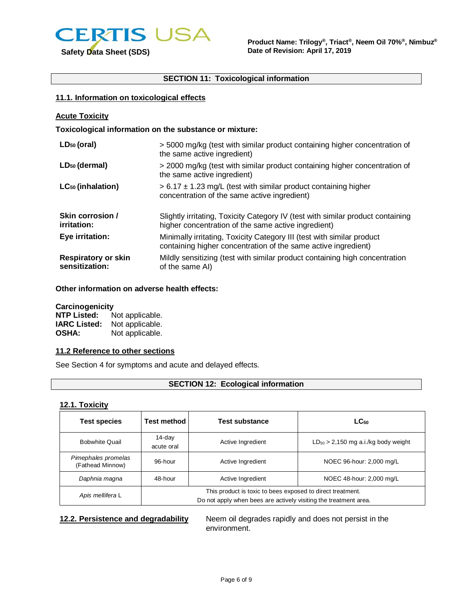

**Safety Data Sheet (SDS)**

# **SECTION 11: Toxicological information**

## **11.1. Information on toxicological effects**

**Acute Toxicity**

## **Toxicological information on the substance or mixture:**

| $LD_{50}$ (oral)                             | > 5000 mg/kg (test with similar product containing higher concentration of<br>the same active ingredient)                                |
|----------------------------------------------|------------------------------------------------------------------------------------------------------------------------------------------|
| LD <sub>50</sub> (dermal)                    | > 2000 mg/kg (test with similar product containing higher concentration of<br>the same active ingredient)                                |
| LC <sub>50</sub> (inhalation)                | $> 6.17 \pm 1.23$ mg/L (test with similar product containing higher<br>concentration of the same active ingredient)                      |
| Skin corrosion /<br><i>irritation:</i>       | Slightly irritating, Toxicity Category IV (test with similar product containing<br>higher concentration of the same active ingredient)   |
| Eye irritation:                              | Minimally irritating, Toxicity Category III (test with similar product<br>containing higher concentration of the same active ingredient) |
| <b>Respiratory or skin</b><br>sensitization: | Mildly sensitizing (test with similar product containing high concentration<br>of the same AI)                                           |

# **Other information on adverse health effects:**

# **Carcinogenicity**

| Not applicable. |
|-----------------|
| Not applicable. |
| Not applicable. |
|                 |

# **11.2 Reference to other sections**

See Section 4 for symptoms and acute and delayed effects.

# **SECTION 12: Ecological information**

### **12.1. Toxicity**

| Test species                            | <b>Test method</b>                                                                                                             | <b>Test substance</b> | $LC_{50}$                                |
|-----------------------------------------|--------------------------------------------------------------------------------------------------------------------------------|-----------------------|------------------------------------------|
| <b>Bobwhite Quail</b>                   | 14-day<br>acute oral                                                                                                           | Active Ingredient     | $LD_{50}$ > 2,150 mg a.i./kg body weight |
| Pimephales promelas<br>(Fathead Minnow) | 96-hour                                                                                                                        | Active Ingredient     | NOEC 96-hour: 2,000 mg/L                 |
| Daphnia magna                           | 48-hour                                                                                                                        | Active Ingredient     | NOEC 48-hour: 2,000 mg/L                 |
| Apis mellifera L                        | This product is toxic to bees exposed to direct treatment.<br>Do not apply when bees are actively visiting the treatment area. |                       |                                          |

**12.2. Persistence and degradability** Neem oil degrades rapidly and does not persist in the environment.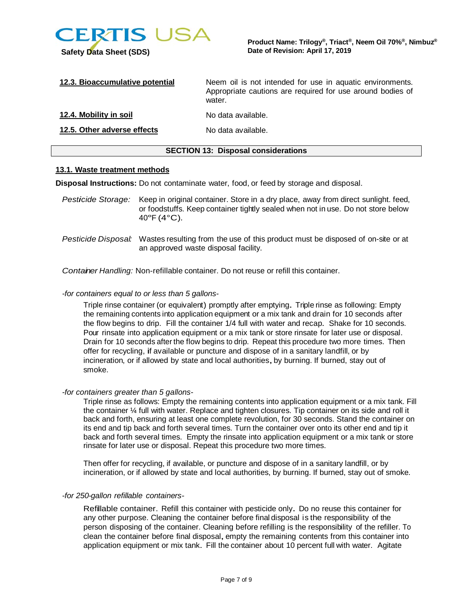

**Safety Data Sheet (SDS)**

| 12.3. Bioaccumulative potential | Neem oil is not intended for use in aquatic environments.<br>Appropriate cautions are required for use around bodies of<br>water. |
|---------------------------------|-----------------------------------------------------------------------------------------------------------------------------------|
| 12.4. Mobility in soil          | No data available.                                                                                                                |
| 12.5. Other adverse effects     | No data available.                                                                                                                |

## **SECTION 13: Disposal considerations**

# **13.1. Waste treatment methods**

**Disposal Instructions:** Do not contaminate water, food, or feed by storage and disposal.

*Pesticide Storage:* Keep in original container. Store in a dry place, away from direct sunlight. feed, or foodstuffs. Keep container tightly sealed when not in use. Do not store below 40°F (4°C)*.*

*Pesticide Disposal:* Wastes resulting from the use of this product must be disposed of on-site or at an approved waste disposal facility.

*Container Handling:* Non-refillable container. Do not reuse or refill this container.

#### *-for containers equal to or less than 5 gallons-*

Triple rinse container (or equivalent) promptly after emptying. Triple rinse as following: Empty the remaining contents into application equipment or a mix tank and drain for 10 seconds after the flow begins to drip. Fill the container 1/4 full with water and recap. Shake for 10 seconds. Pour rinsate into application equipment or a mix tank or store rinsate for later use or disposal. Drain for 10 seconds after the flow begins to drip. Repeat this procedure two more times. Then offer for recycling, if available or puncture and dispose of in a sanitary landfill, or by incineration, or if allowed by state and local authorities, by burning. If burned, stay out of smoke.

#### *-for containers greater than 5 gallons-*

Triple rinse as follows: Empty the remaining contents into application equipment or a mix tank. Fill the container ¼ full with water. Replace and tighten closures. Tip container on its side and roll it back and forth, ensuring at least one complete revolution, for 30 seconds. Stand the container on its end and tip back and forth several times. Turn the container over onto its other end and tip it back and forth several times. Empty the rinsate into application equipment or a mix tank or store rinsate for later use or disposal. Repeat this procedure two more times.

Then offer for recycling, if available, or puncture and dispose of in a sanitary landfill, or by incineration, or if allowed by state and local authorities, by burning. If burned, stay out of smoke.

#### *-for 250-gallon refillable containers-*

Refillable container. Refill this container with pesticide only. Do no reuse this container for any other purpose. Cleaning the container before final disposal is the responsibility of the person disposing of the container. Cleaning before refilling is the responsibility of the refiller. To clean the container before final disposal, empty the remaining contents from this container into application equipment or mix tank. Fill the container about 10 percent full with water. Agitate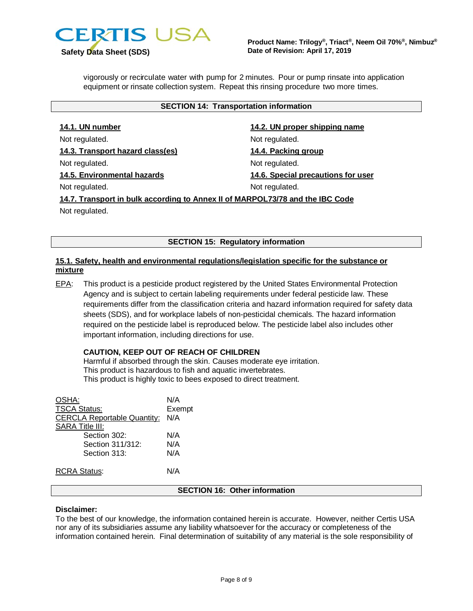

vigorously or recirculate water with pump for 2 minutes. Pour or pump rinsate into application equipment or rinsate collection system. Repeat this rinsing procedure two more times.

## **SECTION 14: Transportation information**

**14.1. UN number 14.2. UN proper shipping name** Not regulated. Not regulated. **14.3. Transport hazard class(es) 14.4. Packing group** Not regulated. Not regulated. **14.5. Environmental hazards 14.6. Special precautions for user** Not regulated. Not regulated. **14.7. Transport in bulk according to Annex II of MARPOL73/78 and the IBC Code** Not regulated.

### **SECTION 15: Regulatory information**

# **15.1. Safety, health and environmental regulations/legislation specific for the substance or mixture**

EPA: This product is a pesticide product registered by the United States Environmental Protection Agency and is subject to certain labeling requirements under federal pesticide law. These requirements differ from the classification criteria and hazard information required for safety data sheets (SDS), and for workplace labels of non-pesticidal chemicals. The hazard information required on the pesticide label is reproduced below. The pesticide label also includes other important information, including directions for use.

## **CAUTION, KEEP OUT OF REACH OF CHILDREN**

Harmful if absorbed through the skin. Causes moderate eye irritation. This product is hazardous to fish and aquatic invertebrates. This product is highly toxic to bees exposed to direct treatment.

| OSHA:                              | N/A    |
|------------------------------------|--------|
| <b>TSCA Status:</b>                | Exempt |
| <b>CERCLA Reportable Quantity:</b> | N/A    |
| <b>SARA Title III:</b>             |        |
| Section 302:                       | N/A    |
| Section 311/312:                   | N/A    |
| Section 313:                       | N/A    |
| <b>RCRA Status:</b>                | N/A    |

## **SECTION 16: Other information**

#### **Disclaimer:**

To the best of our knowledge, the information contained herein is accurate. However, neither Certis USA nor any of its subsidiaries assume any liability whatsoever for the accuracy or completeness of the information contained herein. Final determination of suitability of any material is the sole responsibility of